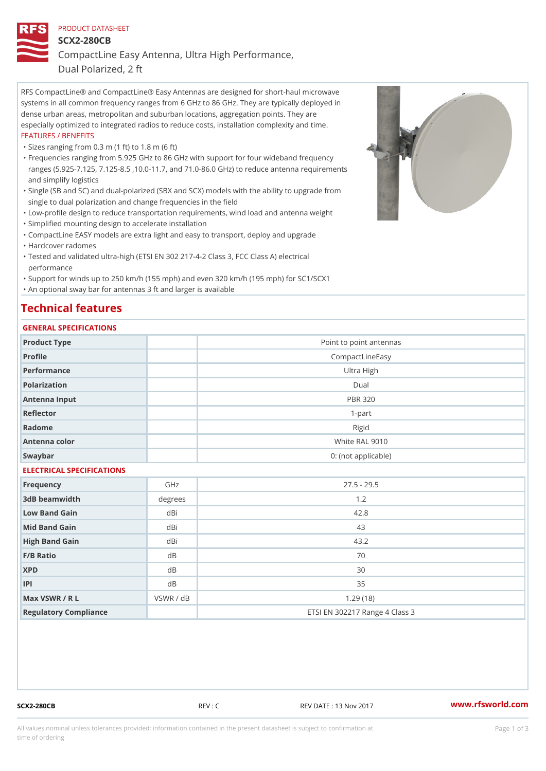# PRODUCT DATASHEET

SCX2-280CB

CompactLine Easy Antenna, Ultra High Performance,

Dual Polarized, 2 ft

RFS CompactLine® and CompactLine® Easy Antennas are designed for short-haul microwave systems in all common frequency ranges from 6 GHz to 86 GHz. They are typically deployed in dense urban areas, metropolitan and suburban locations, aggregation points. They are especially optimized to integrated radios to reduce costs, installation complexity and time. FEATURES / BENEFITS

"Sizes ranging from 0.3 m (1 ft) to 1.8 m (6 ft)

- Frequencies ranging from 5.925 GHz to 86 GHz with support for four wideband frequency " ranges (5.925-7.125, 7.125-8.5 ,10.0-11.7, and 71.0-86.0 GHz) to reduce antenna requirements and simplify logistics
- Single (SB and SC) and dual-polarized (SBX and SCX) models with the ability to upgrade from " single to dual polarization and change frequencies in the field

"Low-profile design to reduce transportation requirements, wind load and antenna weight

"Simplified mounting design to accelerate installation

 "CompactLine EASY models are extra light and easy to transport, deploy and upgrade "Hardcover radomes

Tested and validated ultra-high (ETSI EN 302 217-4-2 Class 3, FCC Class A) electrical " performance

 "Support for winds up to 250 km/h (155 mph) and even 320 km/h (195 mph) for SC1/SCX1 "An optional sway bar for antennas 3 ft and larger is available

# Technical features

## GENERAL SPECIFICATIONS

| OLIVLINAL OI LOII IOA I IONO |           |                                |  |  |  |
|------------------------------|-----------|--------------------------------|--|--|--|
| Product Type                 |           | Point to point antennas        |  |  |  |
| Profile                      |           | CompactLineEasy                |  |  |  |
| Performance                  |           | Ultra High                     |  |  |  |
| Polarization                 |           | $D$ ual                        |  |  |  |
| Antenna Input                |           | <b>PBR 320</b>                 |  |  |  |
| Reflector                    |           | $1 - p$ art                    |  |  |  |
| Radome                       |           | Rigid                          |  |  |  |
| Antenna color                |           | White RAL 9010                 |  |  |  |
| Swaybar                      |           | 0: (not applicable)            |  |  |  |
| ELECTRICAL SPECIFICATIONS    |           |                                |  |  |  |
| Frequency                    | GHz       | $27.5 - 29.5$                  |  |  |  |
| 3dB beamwidth                | degrees   | 1.2                            |  |  |  |
| Low Band Gain                | dBi       | 42.8                           |  |  |  |
| Mid Band Gain                | dBi       | 43                             |  |  |  |
| High Band Gain               | dBi       | 43.2                           |  |  |  |
| F/B Ratio                    | d B       | 70                             |  |  |  |
| <b>XPD</b>                   | d B       | 30                             |  |  |  |
| P                            | $d$ B     | 35                             |  |  |  |
| Max VSWR / R L               | VSWR / dB | 1.29(18)                       |  |  |  |
| Regulatory Compliance        |           | ETSI EN 302217 Range 4 Class 3 |  |  |  |

SCX2-280CB REV : C REV DATE : 13 Nov 2017 [www.](https://www.rfsworld.com)rfsworld.com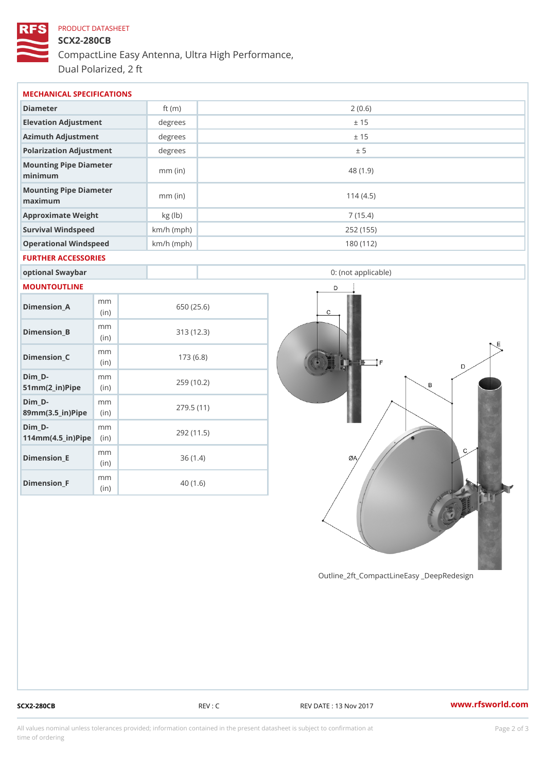# PRODUCT DATASHEET SCX2-280CB CompactLine Easy Antenna, Ultra High Performance, Dual Polarized, 2 ft

| MECHANICAL SPECIFICATIONS          |              |            |                     |  |  |  |
|------------------------------------|--------------|------------|---------------------|--|--|--|
| Diameter                           | ft $(m)$     |            | 2(0.6)              |  |  |  |
| Elevation Adjustment               | degrees      |            | ± 15                |  |  |  |
| Azimuth Adjustment                 | degrees      | ± 15       |                     |  |  |  |
| Polarization Adjustment            | degree       |            | ± 5                 |  |  |  |
| Mounting Pipe Diameter<br>minimaum | $mm$ (in)    |            | 48 (1.9)            |  |  |  |
| Mounting Pipe Diameter<br>maximum  | $mm$ (in)    |            | 114(4.5)            |  |  |  |
| Approximate Weight                 | kg (lb)      |            | 7(15.4)             |  |  |  |
| Survival Windspeed                 | $km/h$ (mph) |            | 252 (155)           |  |  |  |
| Operational Windspeed              | $km/h$ (mph) |            | 180 (112)           |  |  |  |
| FURTHER ACCESSORIES                |              |            |                     |  |  |  |
| optional Swaybar                   |              |            | 0: (not applicable) |  |  |  |
| MOUNTOUTLINE                       |              |            |                     |  |  |  |
| m m<br>Dimension A<br>(in)         |              | 650 (25.6) |                     |  |  |  |

313 (12.3)

173 (6.8)

259 (10.2)

279.5 (11)

292 (11.5)

36 (1.4)

40 (1.6)

Dimension\_B

Dimension C

 $51mm(2_{in})Pip@in$ 

 $89$  m m  $(3.5$  in  $)$  P i(pi ne)

 $114$  m m  $(4.5$   $\pm$  ir  $)$   $\sqrt{$  ii p  $\approx$ 

Dimension\_E

Dimension\_F

 $Dim_D - D -$ 

 $Dim_D - D -$ 

Dim\_D-

mm (in)

m<sub>m</sub> (in)

mm

mm

mm

mm (in)

m m (in)

SCX2-280CB REV : C REV DATE : 13 Nov 2017 WWW.rfsworld.com

Outline\_2ft\_CompactLineEasy \_DeepRedesi

All values nominal unless tolerances provided; information contained in the present datasheet is subject to Pcapgelio an atio time of ordering